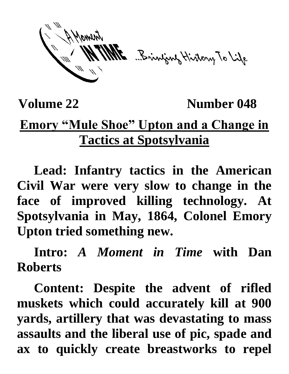ME Brinjang History To Life

**Volume 22 Number 048** 

## **Emory "Mule Shoe" Upton and a Change in Tactics at Spotsylvania**

**Lead: Infantry tactics in the American Civil War were very slow to change in the face of improved killing technology. At Spotsylvania in May, 1864, Colonel Emory Upton tried something new.**

**Intro:** *A Moment in Time* **with Dan Roberts**

**Content: Despite the advent of rifled muskets which could accurately kill at 900 yards, artillery that was devastating to mass assaults and the liberal use of pic, spade and ax to quickly create breastworks to repel**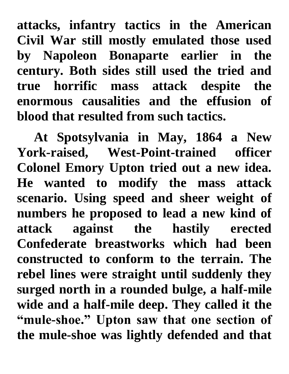**attacks, infantry tactics in the American Civil War still mostly emulated those used by Napoleon Bonaparte earlier in the century. Both sides still used the tried and true horrific mass attack despite the enormous causalities and the effusion of blood that resulted from such tactics.** 

**At Spotsylvania in May, 1864 a New York-raised, West-Point-trained officer Colonel Emory Upton tried out a new idea. He wanted to modify the mass attack scenario. Using speed and sheer weight of numbers he proposed to lead a new kind of attack against the hastily erected Confederate breastworks which had been constructed to conform to the terrain. The rebel lines were straight until suddenly they surged north in a rounded bulge, a half-mile wide and a half-mile deep. They called it the "mule-shoe." Upton saw that one section of the mule-shoe was lightly defended and that**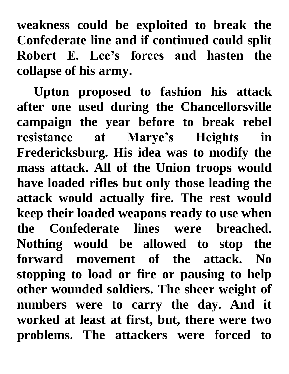**weakness could be exploited to break the Confederate line and if continued could split Robert E. Lee's forces and hasten the collapse of his army.**

**Upton proposed to fashion his attack after one used during the Chancellorsville campaign the year before to break rebel resistance at Marye's Heights in Fredericksburg. His idea was to modify the mass attack. All of the Union troops would have loaded rifles but only those leading the attack would actually fire. The rest would keep their loaded weapons ready to use when the Confederate lines were breached. Nothing would be allowed to stop the forward movement of the attack. No stopping to load or fire or pausing to help other wounded soldiers. The sheer weight of numbers were to carry the day. And it worked at least at first, but, there were two problems. The attackers were forced to**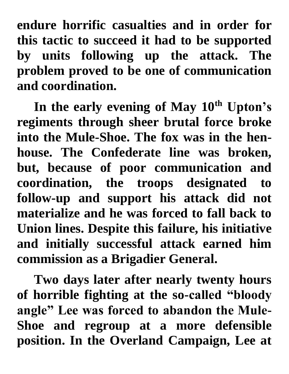**endure horrific casualties and in order for this tactic to succeed it had to be supported by units following up the attack. The problem proved to be one of communication and coordination.** 

**In the early evening of May 10th Upton's regiments through sheer brutal force broke into the Mule-Shoe. The fox was in the henhouse. The Confederate line was broken, but, because of poor communication and coordination, the troops designated to follow-up and support his attack did not materialize and he was forced to fall back to Union lines. Despite this failure, his initiative and initially successful attack earned him commission as a Brigadier General.** 

**Two days later after nearly twenty hours of horrible fighting at the so-called "bloody angle" Lee was forced to abandon the Mule-Shoe and regroup at a more defensible position. In the Overland Campaign, Lee at**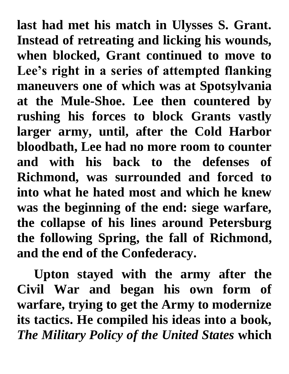**last had met his match in Ulysses S. Grant. Instead of retreating and licking his wounds, when blocked, Grant continued to move to Lee's right in a series of attempted flanking maneuvers one of which was at Spotsylvania at the Mule-Shoe. Lee then countered by rushing his forces to block Grants vastly larger army, until, after the Cold Harbor bloodbath, Lee had no more room to counter and with his back to the defenses of Richmond, was surrounded and forced to into what he hated most and which he knew was the beginning of the end: siege warfare, the collapse of his lines around Petersburg the following Spring, the fall of Richmond, and the end of the Confederacy.**

**Upton stayed with the army after the Civil War and began his own form of warfare, trying to get the Army to modernize its tactics. He compiled his ideas into a book,**  *The Military Policy of the United States* **which**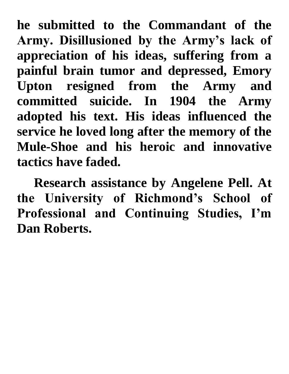**he submitted to the Commandant of the Army. Disillusioned by the Army's lack of appreciation of his ideas, suffering from a painful brain tumor and depressed, Emory Upton resigned from the Army and committed suicide. In 1904 the Army adopted his text. His ideas influenced the service he loved long after the memory of the Mule-Shoe and his heroic and innovative tactics have faded.**

**Research assistance by Angelene Pell. At the University of Richmond's School of Professional and Continuing Studies, I'm Dan Roberts.**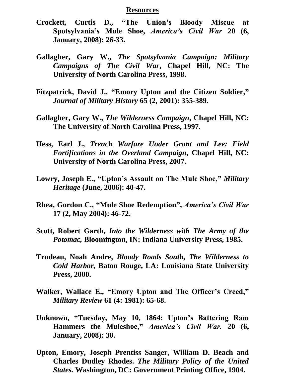## **Resources**

- **Crockett, Curtis D., "The Union's Bloody Miscue at Spotsylvania's Mule Shoe,** *America's Civil War* **20 (6, January, 2008): 26-33.**
- **Gallagher, Gary W.,** *The Spotsylvania Campaign: Military Campaigns of The Civil War***, Chapel Hill, NC: The University of North Carolina Press, 1998.**
- **Fitzpatrick, David J., "Emory Upton and the Citizen Soldier, "** *Journal of Military History* **65 (2, 2001): 355-389.**
- **Gallagher, Gary W.,** *The Wilderness Campaign***, Chapel Hill, NC: The University of North Carolina Press, 1997.**
- **Hess, Earl J.,** *Trench Warfare Under Grant and Lee: Field Fortifications in the Overland Campaign***, Chapel Hill, NC: University of North Carolina Press, 2007.**
- **Lowry, Joseph E., "Upton's Assault on The Mule Shoe,"** *Military Heritage* **(June, 2006): 40-47.**
- **Rhea, Gordon C., "Mule Shoe Redemption" ,** *America's Civil War* **17 (2, May 2004): 46-72.**
- **Scott, Robert Garth,** *Into the Wilderness with The Army of the Potomac,* **Bloomington, IN: Indiana University Press, 1985.**
- **Trudeau, Noah Andre,** *Bloody Roads South, The Wilderness to Cold Harbor,* **Baton Rouge, LA: Louisiana State University Press, 2000.**
- **Walker, Wallace E., "Emory Upton and The Officer's Creed,"**  *Military Review* **61 (4: 1981): 65-68.**
- **Unknown, "Tuesday, May 10, 1864: Upton's Battering Ram Hammers the Muleshoe, "** *America's Civil War.* **20 (6, January, 2008): 30.**
- **Upton, Emory, Joseph Prentiss Sanger, William D. Beach and Charles Dudley Rhodes.** *The Military Policy of the United States.* **Washington, DC: Government Printing Office, 1904.**